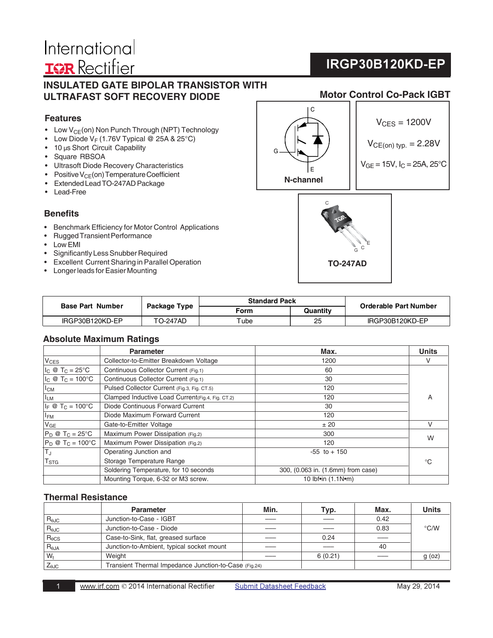# International **IGR** Rectifier

# **IRGP30B120KD-EP**

# **INSULATED GATE BIPOLAR TRANSISTOR WITH ULTRAFAST SOFT RECOVERY DIODE**

# **Features**

- Low  $V_{CE}(on)$  Non Punch Through (NPT) Technology
- Low Diode  $V_F$  (1.76V Typical @ 25A & 25°C)
- 10 μs Short Circuit Capability
- Square RBSOA
- Ultrasoft Diode Recovery Characteristics
- Positive  $V_{CE}$ (on) Temperature Coefficient
- Extended Lead TO-247AD Package
- Lead-Free

### **Benefits**

- Benchmark Efficiency for Motor Control Applications
- Rugged Transient Performance
- Low EMI
- Significantly Less Snubber Required
- Excellent Current Sharing in Parallel Operation
- Longer leads for Easier Mounting



 $V_{CES} = 1200V$ 

$$
V_{CE(on) \; typ.} = 2.28V
$$

 $V_{GE}$  = 15V,  $I_C$  = 25A, 25°C



| <b>Base Part Number</b> |                 | <b>Standard Pack</b> |          | Orderable Part Number |
|-------------------------|-----------------|----------------------|----------|-----------------------|
|                         | Package Type    | Form                 | Quantity |                       |
| IRGP30B120KD-EP         | <b>TO-247AD</b> | $\tau$ ube           | 25       | IRGP30B120KD-EP       |

# **Absolute Maximum Ratings**

|                                                                              | <b>Parameter</b>                                 | Max.                               | <b>Units</b> |
|------------------------------------------------------------------------------|--------------------------------------------------|------------------------------------|--------------|
| $ V_{CES} $                                                                  | Collector-to-Emitter Breakdown Voltage           | 1200                               | V            |
| $I_c \otimes T_c = 25^{\circ}C$                                              | Continuous Collector Current (Fig.1)             | 60                                 |              |
| $I_{C} \otimes T_{C} = 100^{\circ}C$<br>Continuous Collector Current (Fig.1) |                                                  | 30                                 |              |
| l <sub>CM</sub>                                                              | Pulsed Collector Current (Fig.3, Fig. CT.5)      | 120                                |              |
| I <sub>LM</sub>                                                              | Clamped Inductive Load Current(Fig.4, Fig. CT.2) | 120                                | A            |
| $ I_F \otimes T_C = 100^{\circ}C$                                            | Diode Continuous Forward Current                 | 30                                 |              |
| $I_{FM}$                                                                     | Diode Maximum Forward Current                    | 120                                |              |
| $ V_{GE} $                                                                   | Gate-to-Emitter Voltage                          | ± 20                               |              |
| $P_D @ T_C = 25$ °C                                                          | Maximum Power Dissipation (Fig.2)                | 300                                | W            |
| $P_D @ T_C = 100^{\circ}C$                                                   | Maximum Power Dissipation (Fig.2)                | 120                                |              |
| T」                                                                           | Operating Junction and                           | $-55$ to $+150$                    |              |
| $\mathsf{T}_{\textsf{STG}}$                                                  | Storage Temperature Range                        |                                    | $^{\circ}C$  |
|                                                                              | Soldering Temperature, for 10 seconds            | 300, (0.063 in. (1.6mm) from case) |              |
|                                                                              | Mounting Torque, 6-32 or M3 screw.               | 10 lbf•in (1.1N•m)                 |              |

# **Thermal Resistance**

|                 | <b>Parameter</b>                                      | Min. | Typ.    | Max. | <b>Units</b>  |
|-----------------|-------------------------------------------------------|------|---------|------|---------------|
| $R_{\theta$ JC  | Junction-to-Case - IGBT                               |      |         | 0.42 |               |
| $R_{\theta$ JC  | Junction-to-Case - Diode                              |      |         | 0.83 | $\degree$ C/W |
| $R_{\theta CS}$ | Case-to-Sink, flat, greased surface                   |      | 0.24    |      |               |
| $R_{\theta$ JA  | Junction-to-Ambient, typical socket mount             |      |         | 40   |               |
| $W_t$           | Weight                                                |      | 6(0.21) |      | $g$ (oz)      |
| $Z_{\theta$ JC  | Transient Thermal Impedance Junction-to-Case (Fig.24) |      |         |      |               |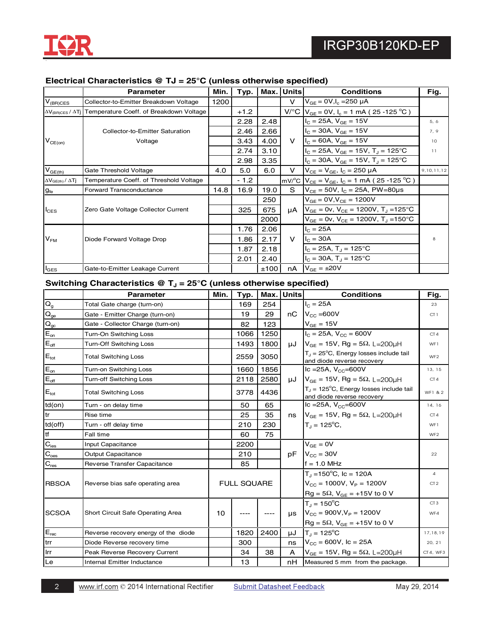

# **Electrical Characteristics @ TJ = 25°C (unless otherwise specified)**

|                                     | <b>Parameter</b>                                                    | Min. | Typ.   | Max. | Units  | <b>Conditions</b>                                                             | Fig.       |
|-------------------------------------|---------------------------------------------------------------------|------|--------|------|--------|-------------------------------------------------------------------------------|------------|
| $V_{\frac{\text{(BR)CES}}{\text{}}$ | Collector-to-Emitter Breakdown Voltage                              | 1200 |        |      | $\vee$ | $V_{GF} = 0 V, I_c = 250 \mu A$                                               |            |
|                                     | AV <sub>(BR)CES</sub> / ATj Temperature Coeff. of Breakdown Voltage |      | $+1.2$ |      |        | $V^{\circ}C$ $V_{GE}$ = 0V, $I_c$ = 1 mA (25 -125 °C)                         |            |
|                                     |                                                                     |      | 2.28   | 2.48 |        | $I_C = 25A$ , $V_{GF} = 15V$                                                  | 5, 6       |
|                                     | Collector-to-Emitter Saturation                                     |      | 2.46   | 2.66 |        | $I_C = 30A$ , $V_{GE} = 15V$                                                  | 7.9        |
| $V_{CE(on)}$                        | Voltage                                                             |      | 3.43   | 4.00 |        | V $I_c = 60A$ , $V_{GF} = 15V$                                                | 10         |
|                                     |                                                                     |      | 2.74   | 3.10 |        | $I_C = 25A$ , $V_{GE} = 15V$ , $T_J = 125$ °C                                 | 11         |
|                                     |                                                                     |      | 2.98   | 3.35 |        | $I_C = 30A$ , $V_{GF} = 15V$ , $T_I = 125^{\circ}C$                           |            |
| $V_{GE(th)}$                        | Gate Threshold Voltage                                              | 4.0  | 5.0    | 6.0  | V      | $V_{CF} = V_{GF}$ , $I_C = 250 \mu A$                                         | 9,10,11,12 |
| $\Delta V_{GE(th)} / \Delta Tj$     | Temperature Coeff. of Threshold Voltage                             |      | $-1.2$ |      |        | $mV$ <sup>o</sup> C $V_{CE} = V_{GE}$ , $I_C = 1$ mA (25 -125 <sup>o</sup> C) |            |
| $g_{\rm fe}$                        | Forward Transconductance                                            | 14.8 | 16.9   | 19.0 | S      | $V_{CF} = 50V$ , $I_C = 25A$ , PW=80us                                        |            |
|                                     |                                                                     |      |        | 250  |        | $V_{GF} = 0V, V_{CF} = 1200V$                                                 |            |
| $I_{\text{CES}}$                    | Zero Gate Voltage Collector Current                                 |      | 325    | 675  | μA     | $V_{GE}$ = 0v, $V_{CE}$ = 1200V, T <sub>J</sub> = 125 °C                      |            |
|                                     |                                                                     |      |        | 2000 |        | $V_{GF} = 0v$ , $V_{CF} = 1200V$ , $T_{J} = 150^{\circ}C$                     |            |
|                                     |                                                                     |      | 1.76   | 2.06 |        | $I_{C} = 25A$                                                                 |            |
| $V_{FM}$                            | Diode Forward Voltage Drop                                          |      | 1.86   | 2.17 | $\vee$ | $I_c = 30A$                                                                   |            |
|                                     |                                                                     |      | 1.87   | 2.18 |        | $I_C = 25A$ , $T_A = 125^{\circ}C$                                            |            |
|                                     |                                                                     |      | 2.01   | 2.40 |        | $I_C = 30A$ , $T_A = 125^{\circ}C$                                            |            |
| $I_{\text{GES}}$                    | Gate-to-Emitter Leakage Current                                     |      |        | ±100 | nA     | $V_{GE} = \pm 20V$                                                            |            |

# Switching Characteristics @ T<sub>J</sub> = 25°C (unless otherwise specified)

|                                         | <b>Parameter</b>                     | Min. | Typ.               |      | Max. Units | <b>Conditions</b>                                                                 | Fig.            |
|-----------------------------------------|--------------------------------------|------|--------------------|------|------------|-----------------------------------------------------------------------------------|-----------------|
| $\overline{O}$                          | Total Gate charge (turn-on)          |      | 169                | 254  |            | $I_C = 25A$                                                                       | 23              |
| $\mathbf{Q}_\text{ge}$                  | Gate - Emitter Charge (turn-on)      |      | 19                 | 29   | nC         | $V_{\text{cc}} = 600V$                                                            | CT1             |
| $\mathbf{Q}_\mathrm{gc}$                | Gate - Collector Charge (turn-on)    |      | 82                 | 123  |            | $V_{GE}$ = 15V                                                                    |                 |
| $E_{on}$                                | Turn-On Switching Loss               |      | 1066               | 1250 |            | $I_C = 25A$ , $V_{CC} = 600V$                                                     | CT4             |
| $\mathsf{E}_{\mathsf{off}}$             | <b>Turn-Off Switching Loss</b>       |      | 1493               | 1800 |            | $\mu$ J   $V_{GE}$ = 15V, Rg = 5 $\Omega$ , L=200 $\mu$ H                         | WF1             |
| $E_{\text{tot}}$                        | <b>Total Switching Loss</b>          |      | 2559               | 3050 |            | $T_{\rm J}$ = 25°C, Energy losses include tail<br>and diode reverse recovery      | WF <sub>2</sub> |
| $E_{on}$                                | Turn-on Switching Loss               |      | 1660               | 1856 |            | Ic = 25A, $V_{CC}$ =600V                                                          | 13, 15          |
| $E_{\underline{\text{off}}}$            | Turn-off Switching Loss              |      | 2118               | 2580 | μJ         | $V_{GF}$ = 15V, Rg = 5 $\Omega$ , L=200uH                                         | CT4             |
| $E_{\text{tot}}$                        | <b>Total Switching Loss</b>          |      | 3778               | 4436 |            | $T_{\parallel}$ = 125°C, Energy losses include tail<br>and diode reverse recovery | WF1 & 2         |
| $td($ on $)$                            | Turn - on delay time                 |      | 50                 | 65   |            | Ic = 25A, $V_{CC}$ =600V                                                          | 14, 16          |
| tr                                      | Rise time                            |      | 25                 | 35   | ns         | $V_{GE}$ = 15V, Rg = 5 $\Omega$ , L=200µH                                         | CT4             |
| $td($ off $)$                           | Turn - off delay time                |      | 210                | 230  |            | $T_1 = 125^{\circ}C$                                                              | WF1             |
| tf                                      | Fall time                            |      | 60                 | 75   |            |                                                                                   | WF <sub>2</sub> |
| $\mathbf{C}_{\underline{\mathsf{ies}}}$ | Input Capacitance                    |      | 2200               |      |            | $V_{GE} = 0V$                                                                     |                 |
| $\mathbf{C}_{\underline{\text{oes}}}$   | <b>Output Capacitance</b>            |      | 210                |      | pF.        | $V_{\text{cc}}$ = 30V                                                             |                 |
| $\mathbf{C}_{\text{res}}$               | Reverse Transfer Capacitance         |      | 85                 |      |            | $f = 1.0 MHz$                                                                     |                 |
|                                         |                                      |      |                    |      |            | $T_{\rm d}$ = 150°C, Ic = 120A                                                    | 4               |
| <b>RBSOA</b>                            | Reverse bias safe operating area     |      | <b>FULL SQUARE</b> |      |            | $V_{\text{cc}} = 1000V$ , $V_{\text{P}} = 1200V$                                  | CT 2            |
|                                         |                                      |      |                    |      |            | $Rg = 5\Omega$ , $V_{GE} = +15V$ to 0 V                                           |                 |
|                                         |                                      |      |                    |      |            | $T_1 = 150^{\circ}C$                                                              | CT3             |
| <b>SCSOA</b>                            | Short Circuit Safe Operating Area    | 10   |                    |      | <b>us</b>  | $V_{\text{CC}} = 900V, V_{\text{P}} = 1200V$                                      | WF4             |
|                                         |                                      |      |                    |      |            | $Rg = 5\Omega$ , $V_{GE} = +15V$ to 0 V                                           |                 |
| $\mathsf{E}_{\mathsf{rec}}$             | Reverse recovery energy of the diode |      | 1820               | 2400 | uJ         | $T_J = 125^{\circ}C$                                                              | 17, 18, 19      |
| trr                                     | Diode Reverse recovery time          |      | 300                |      | ns         | $V_{CC}$ = 600V, Ic = 25A                                                         | 20, 21          |
| Irr                                     | Peak Reverse Recovery Current        |      | 34                 | 38   | A          | $V_{GE}$ = 15V, Rg = 5 $\Omega$ , L=200µH                                         | CT4, WF3        |
| Le                                      | Internal Emitter Inductance          |      | 13                 |      | nH.        | Measured 5 mm from the package.                                                   |                 |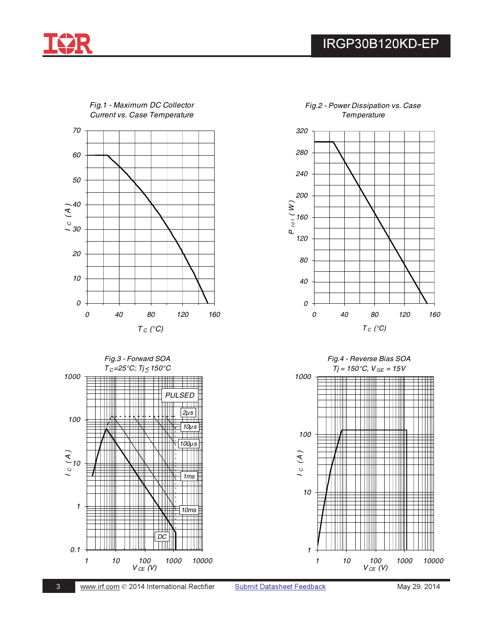



*Fig.1 - Maximum DC Collector Current vs. Case Temperature*





**Submit Datasheet Feedback**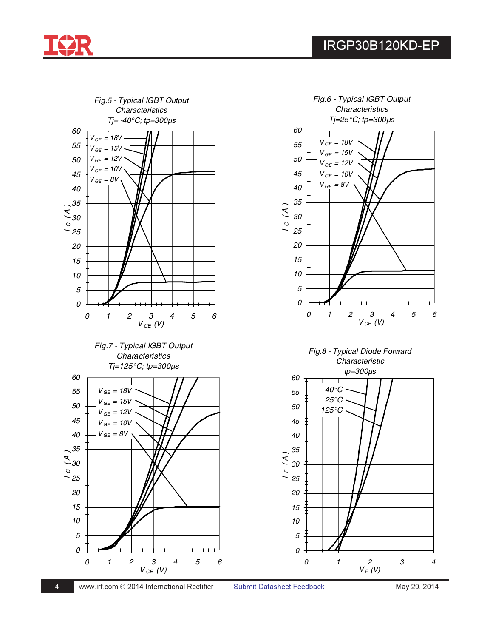





Submit Datasheet Feedback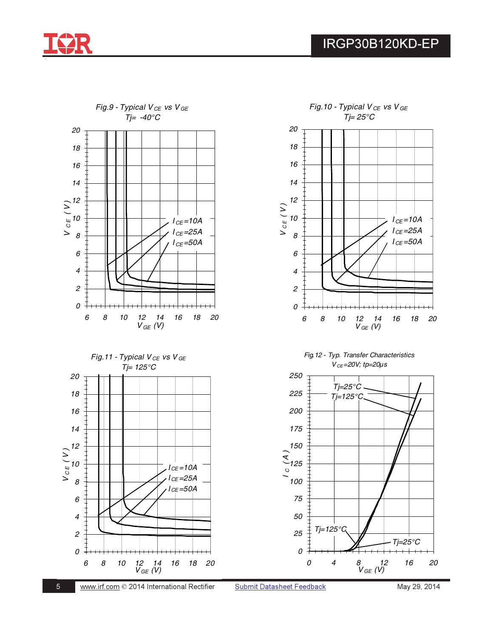











Submit Datasheet Feedback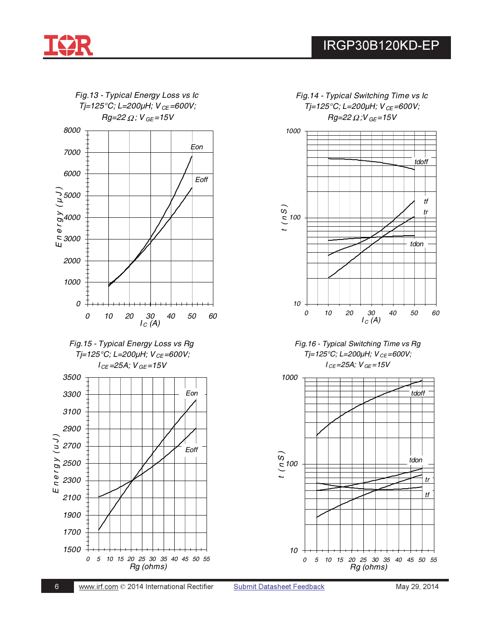



*Fig.14 - Typical Switching Time vs Ic Tj=125°C; L=200*μ*H; V CE =600V; Rg=22* <sup>Ω</sup> *;V GE=15V*



*Fig.16 - Typical Switching Time vs Rg Tj=125°C; L=200*μ*H; V CE=600V; I CE=25A; V GE =15V*

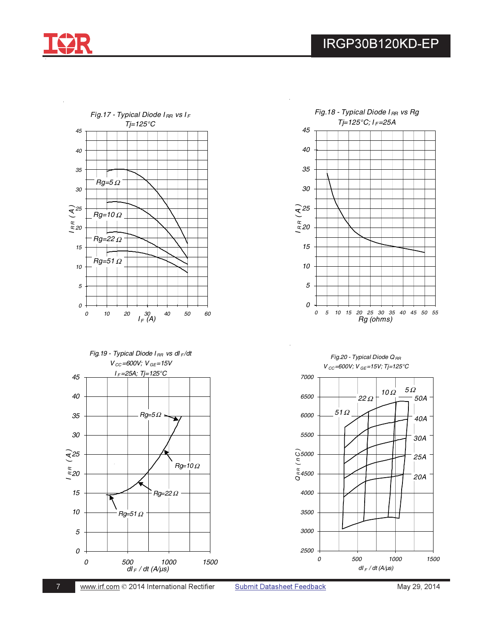



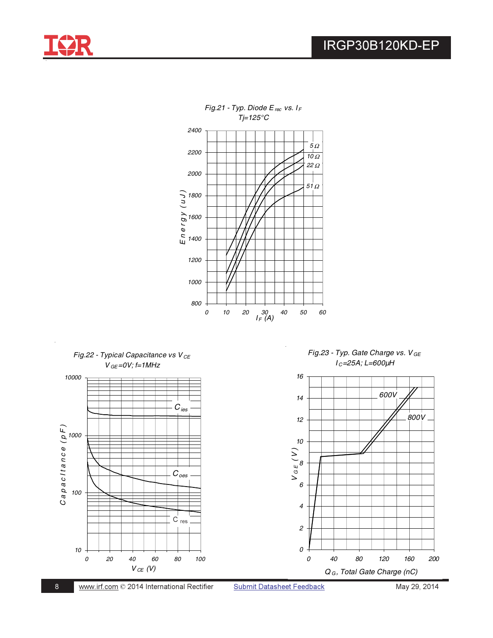





*Fig.21 - Typ. Diode E rec vs. I <sup>F</sup>*

 $\ddot{\phantom{a}}$ 

May 29, 2014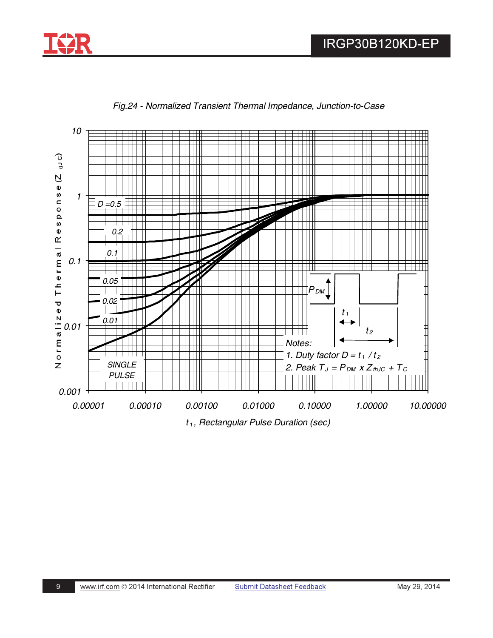



*Fig.24 - Normalized Transient Thermal Impedance, Junction-to-Case*

*t <sup>1</sup> , Rectangular Pulse Duration (sec)*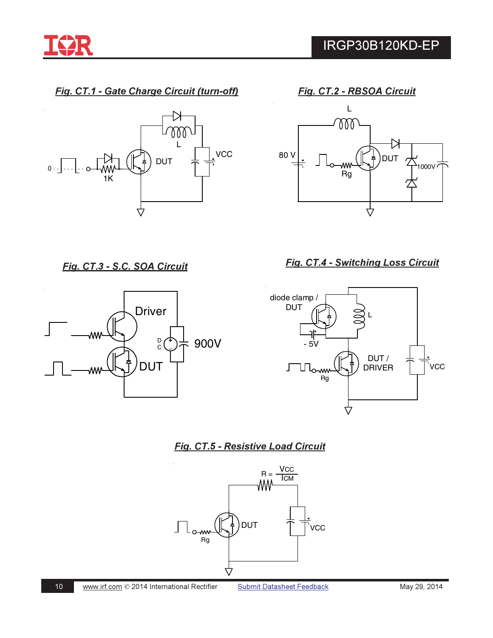

Fig. CT.1 - Gate Charge Circuit (turn-off)



Fig. CT.2 - RBSOA Circuit



Fig. CT.3 - S.C. SOA Circuit



Fig. CT.4 - Switching Loss Circuit



Fig. CT.5 - Resistive Load Circuit



 $10$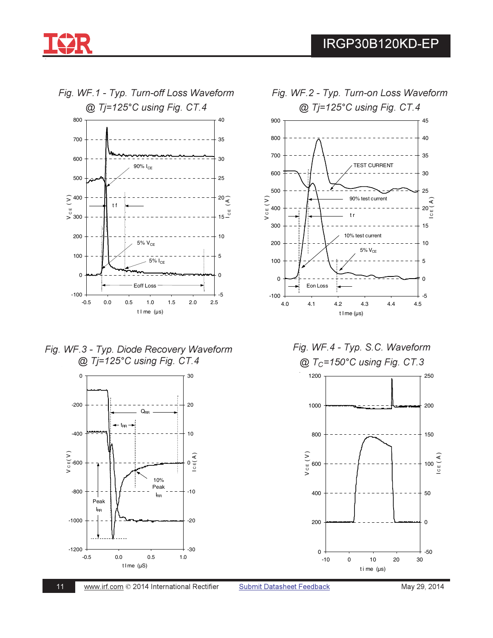

Fig. WF.1 - Typ. Turn-off Loss Waveform



*Fig. WF.3 - Typ. Diode Recovery Waveform* @ Tj=125°C using Fig. CT.4









*Fig. WF.2 - Typ. Turn-on Loss Waveform*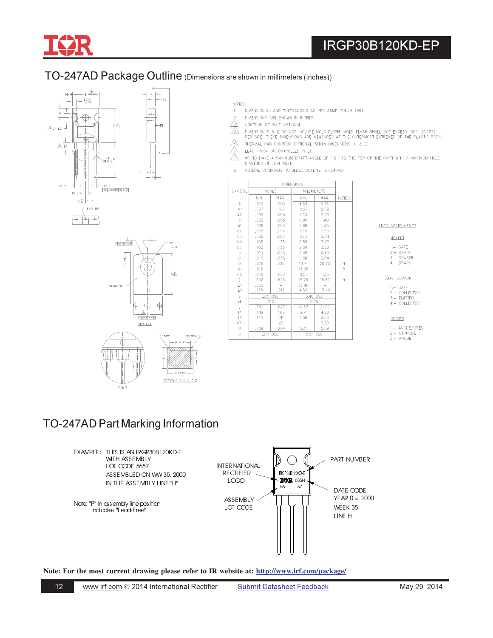

# TO-247AD Package Outline (Dimensions are shown in millimeters (inches))





- NOTES:
- DIMENSIONING AND TOLERANCING AS PER ASME Y14.5M 1994.  $f_{\rm s}$  .
- DIMENSIONS ARE SHOWN IN INCHES.
- /3.\ CONTOUR OF SLOT OPTIONAL.
- $\overline{\triangle}$ DIMENSION D & E DO NOT INCLUDE MOLD FLASH. MOLD FLASH SHALL NOT EXCEED ,005" (0.127)<br>PER SIDE. THESE DIMENSIONS ARE MEASURED AT THE OUTERMOST EXTREMES OF THE PLASTIC BODY.
- 
- $\begin{picture}(120,110) \put(0,0){\line(1,0){15}} \put(15,0){\line(1,0){15}} \put(15,0){\line(1,0){15}} \put(15,0){\line(1,0){15}} \put(15,0){\line(1,0){15}} \put(15,0){\line(1,0){15}} \put(15,0){\line(1,0){15}} \put(15,0){\line(1,0){15}} \put(15,0){\line(1,0){15}} \put(15,0){\line(1,0){15}} \put(15,0){\line(1,0){15}} \put(15,0){\line$ THERMAL PAD CONTOUR OPTIONAL WITHIN DIMENSIONS D1 & E1.
- LEAD FINISH UNCONTROLLED IN L1.
- OP TO HAVE A MAXIMUM DRAFT ANGLE OF 1.5 " TO THE TOP OF THE PART WITH A MAXIMUM HOLE DIAMETER OF .154 INCH.
- OUTLINE CONFORMS TO JEDEC OUTLINE TO-247AD.  $\mathbf{8}$

| SYMBOL         | <b>INCHES</b> |        |       | <b>MILLIMETERS</b>              |                |  |
|----------------|---------------|--------|-------|---------------------------------|----------------|--|
|                | MIN.          | MAX.   | MIN.  | MAX.                            | <b>NOTES</b>   |  |
| A              | .190          | .203   | 4.83  | 5.13                            |                |  |
| A1             | .087          | .102   | 2.21  | 2.59                            |                |  |
| A2             | .059          | .098   | 1.50  | 2.49                            |                |  |
| $\mathbf b$    | .039          | .055   | 0.99  | 1.40                            |                |  |
| b1             | .039          | .053   | 0.99  | 1.35                            |                |  |
| b2             | .065          | .094   | 1.65  | 2.39                            |                |  |
| b3             | .065          | .092   | 1.65  | 2.34                            |                |  |
| b4             | .102          | .135   | 2.59  | 3.43                            |                |  |
| b5             | .102          | .133   | 2.59  | 3.38                            |                |  |
| Ċ.             | .015          | .035   | 0.38  | 0.89                            |                |  |
| c1             | .015          | .033   | 0.38  | 0.84                            |                |  |
| D              | .776          | .815   | 19.71 | 20.70                           | $\overline{4}$ |  |
| D1             | .515          | $\sim$ | 13.08 | $\hspace{0.1mm}-\hspace{0.1mm}$ | 5              |  |
| D <sub>2</sub> | .020          | .053   | 0.51  | 1.35                            |                |  |
| E              | .602          | .625   | 15,29 | 15,87                           | $\overline{4}$ |  |
| F1             | .530          |        | 13.46 |                                 |                |  |
| E <sub>2</sub> | .178          | ,216   | 4,52  | 5.49                            |                |  |
| e              | .215 BSC      |        |       | 5.46 BSC                        |                |  |
| Øk             | .010          |        |       | 0.25                            |                |  |
| L.             | .780          | .827   | 19.57 | 21.00                           |                |  |
| 11             | .146          | .169   | 3.71  | 4.29                            |                |  |
| ØP             | ,140          | ,144   | 3.56  | 3,66                            |                |  |
| øP1            |               | .291   |       | 7,39                            |                |  |
| 0              | .209          | .224   | 5.31  | 5.69                            |                |  |
| Š              | .217 BSC      |        |       | 5.51 BSC                        |                |  |
|                |               |        |       |                                 |                |  |

#### LEAD ASSIGNMENTS

HEXFET

 $1 - GATE$  $2 - DRAIN$ <br> $3 - SOLRCE$ 

4. - DRAIN

#### IGBTs, CoPACK

 $1 - GATE$ 

2. COLLECTOR<br>3. - EMITTER<br>4. - COLLECTOR

DIODES

1.- ANODE/OPEN

2. - CATHODE<br>3. - ANODE

# TO-247AD Part Marking Information

MEW B

 $12$ 



Note: For the most current drawing please refer to IR website at: http://www.irf.com/package/